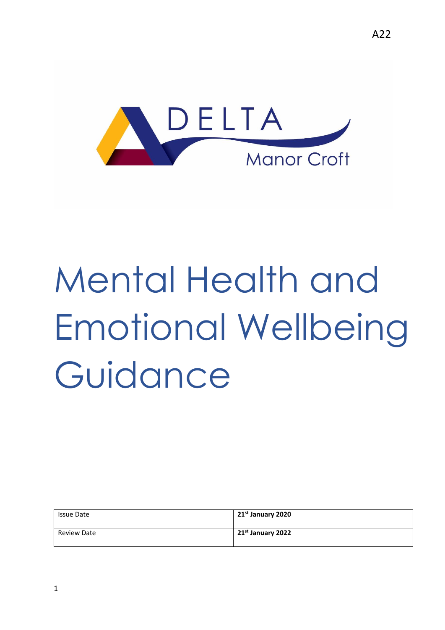

# Mental Health and Emotional Wellbeing Guidance

| <b>Issue Date</b> | 21 <sup>st</sup> January 2020 |
|-------------------|-------------------------------|
| Review Date       | 21 <sup>st</sup> January 2022 |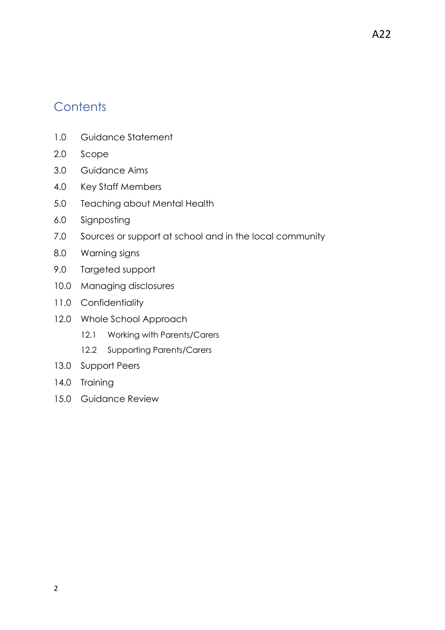#### **Contents**

- 1.0 Guidance Statement
- 2.0 Scope
- 3.0 Guidance Aims
- 4.0 Key Staff Members
- 5.0 Teaching about Mental Health
- 6.0 Signposting
- 7.0 Sources or support at school and in the local community
- 8.0 Warning signs
- 9.0 Targeted support
- 10.0 Managing disclosures
- 11.0 Confidentiality
- 12.0 Whole School Approach
	- 12.1 Working with Parents/Carers
	- 12.2 Supporting Parents/Carers
- 13.0 Support Peers
- 14.0 Training
- 15.0 Guidance Review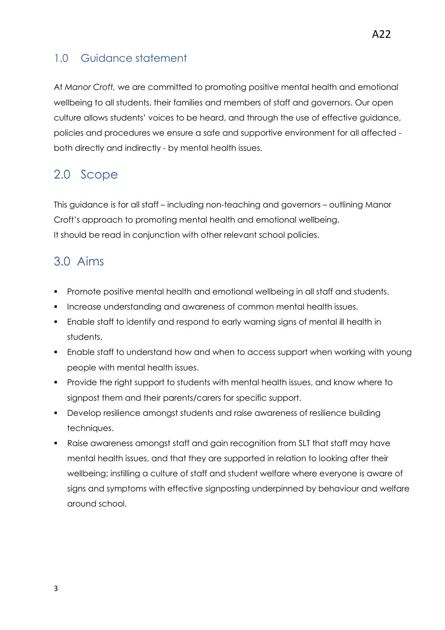#### 1.0 Guidance statement

At *Manor Croft,* we are committed to promoting positive mental health and emotional wellbeing to all students, their families and members of staff and governors. Our open culture allows students' voices to be heard, and through the use of effective guidance, policies and procedures we ensure a safe and supportive environment for all affected both directly and indirectly - by mental health issues.

#### 2.0 Scope

This guidance is for all staff – including non-teaching and governors – outlining Manor Croft's approach to promoting mental health and emotional wellbeing. It should be read in conjunction with other relevant school policies.

#### 3.0 Aims

- Promote positive mental health and emotional wellbeing in all staff and students.
- **Increase understanding and awareness of common mental health issues.**
- Enable staff to identify and respond to early warning signs of mental ill health in students.
- Enable staff to understand how and when to access support when working with young people with mental health issues.
- **Provide the right support to students with mental health issues, and know where to** signpost them and their parents/carers for specific support.
- Develop resilience amongst students and raise awareness of resilience building techniques.
- Raise awareness amongst staff and gain recognition from SLT that staff may have mental health issues, and that they are supported in relation to looking after their wellbeing; instilling a culture of staff and student welfare where everyone is aware of signs and symptoms with effective signposting underpinned by behaviour and welfare around school.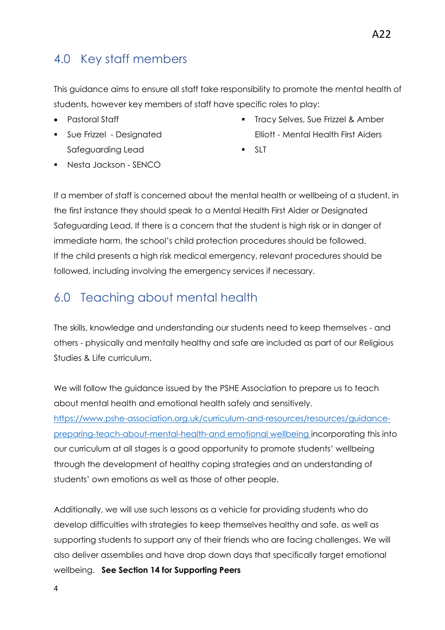This guidance aims to ensure all staff take responsibility to promote the mental health of students, however key members of staff have specific roles to play:

- Pastoral Staff
- **Sue Frizzel Designated** Safeguarding Lead
- **Tracy Selves, Sue Frizzel & Amber** Elliott - Mental Health First Aiders
- $SIT$

Nesta Jackson - SENCO

If a member of staff is concerned about the mental health or wellbeing of a student, in the first instance they should speak to a Mental Health First Aider or Designated Safeguarding Lead. If there is a concern that the student is high risk or in danger of immediate harm, the school's child protection procedures should be followed. If the child presents a high risk medical emergency, relevant procedures should be followed, including involving the emergency services if necessary.

## 6.0 Teaching about mental health

The skills, knowledge and understanding our students need to keep themselves - and others - physically and mentally healthy and safe are included as part of our Religious Studies & Life curriculum.

We will follow the guidance issued by the PSHE Association to prepare us to teach about mental health and emotional health safely and sensitively. [https://www.pshe-association.org.uk/curriculum-and-resources/resources/guidance](https://www.pshe-association.org.uk/curriculum-and-resources/resources/guidance-preparing-teach-about-mental-health-and)[preparing-teach-about-mental-health-and](https://www.pshe-association.org.uk/curriculum-and-resources/resources/guidance-preparing-teach-about-mental-health-and) emotional wellbeing incorporating this into our curriculum at all stages is a good opportunity to promote students' wellbeing through the development of healthy coping strategies and an understanding of students' own emotions as well as those of other people.

Additionally, we will use such lessons as a vehicle for providing students who do develop difficulties with strategies to keep themselves healthy and safe, as well as supporting students to support any of their friends who are facing challenges. We will also deliver assemblies and have drop down days that specifically target emotional wellbeing. **See Section 14 for Supporting Peers**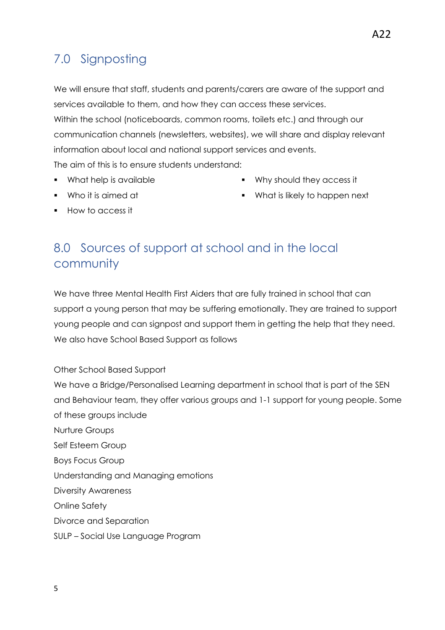## 7.0 Signposting

We will ensure that staff, students and parents/carers are aware of the support and services available to them, and how they can access these services. Within the school (noticeboards, common rooms, toilets etc.) and through our

communication channels (newsletters, websites), we will share and display relevant information about local and national support services and events.

The aim of this is to ensure students understand:

• What help is available

Why should they access it

Who it is aimed at

What is likely to happen next

How to access it

## 8.0 Sources of support at school and in the local community

We have three Mental Health First Aiders that are fully trained in school that can support a young person that may be suffering emotionally. They are trained to support young people and can signpost and support them in getting the help that they need. We also have School Based Support as follows

Other School Based Support

We have a Bridge/Personalised Learning department in school that is part of the SEN and Behaviour team, they offer various groups and 1-1 support for young people. Some of these groups include

Nurture Groups Self Esteem Group

Boys Focus Group

Understanding and Managing emotions

Diversity Awareness

Online Safety

Divorce and Separation

SULP – Social Use Language Program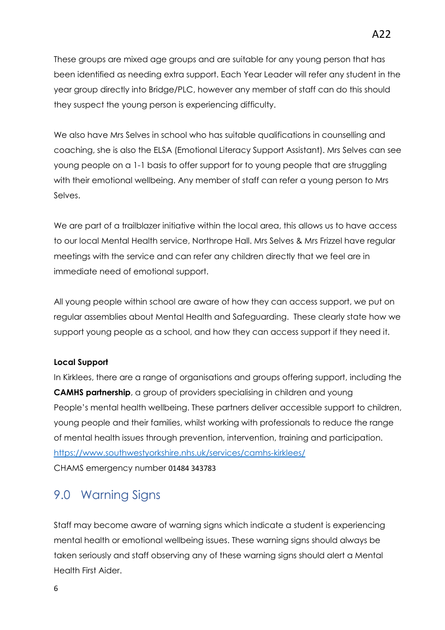These groups are mixed age groups and are suitable for any young person that has been identified as needing extra support. Each Year Leader will refer any student in the year group directly into Bridge/PLC, however any member of staff can do this should they suspect the young person is experiencing difficulty.

We also have Mrs Selves in school who has suitable qualifications in counselling and coaching, she is also the ELSA (Emotional Literacy Support Assistant). Mrs Selves can see young people on a 1-1 basis to offer support for to young people that are struggling with their emotional wellbeing. Any member of staff can refer a young person to Mrs Selves.

We are part of a trailblazer initiative within the local area, this allows us to have access to our local Mental Health service, Northrope Hall. Mrs Selves & Mrs Frizzel have regular meetings with the service and can refer any children directly that we feel are in immediate need of emotional support.

All young people within school are aware of how they can access support, we put on regular assemblies about Mental Health and Safeguarding. These clearly state how we support young people as a school, and how they can access support if they need it.

#### **Local Support**

In Kirklees, there are a range of organisations and groups offering support, including the **CAMHS partnership**, a group of providers specialising in children and young People's mental health wellbeing. These partners deliver accessible support to children, young people and their families, whilst working with professionals to reduce the range of mental health issues through prevention, intervention, training and participation. <https://www.southwestyorkshire.nhs.uk/services/camhs-kirklees/> CHAMS emergency number 01484 343783

#### 9.0 Warning Signs

Staff may become aware of warning signs which indicate a student is experiencing mental health or emotional wellbeing issues. These warning signs should always be taken seriously and staff observing any of these warning signs should alert a Mental Health First Aider.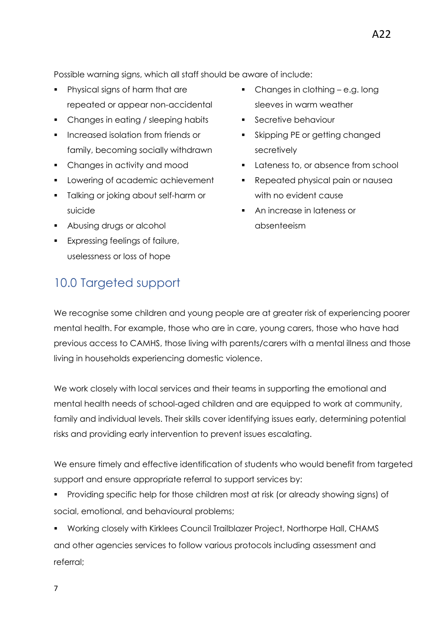- Physical signs of harm that are repeated or appear non-accidental
- Changes in eating / sleeping habits
- **Increased isolation from friends or** family, becoming socially withdrawn
- Changes in activity and mood
- **Lowering of academic achievement**
- **Talking or joking about self-harm or** suicide
- **Abusing drugs or alcohol**
- **Expressing feelings of failure,** uselessness or loss of hope
- 10.0 Targeted support
- Changes in clothing e.g. long sleeves in warm weather
- **Secretive behaviour**
- Skipping PE or getting changed secretively
- **Lateness to, or absence from school**
- Repeated physical pain or nausea with no evident cause
- An increase in lateness or absenteeism

We recognise some children and young people are at greater risk of experiencing poorer mental health. For example, those who are in care, young carers, those who have had previous access to CAMHS, those living with parents/carers with a mental illness and those living in households experiencing domestic violence.

We work closely with local services and their teams in supporting the emotional and mental health needs of school-aged children and are equipped to work at community, family and individual levels. Their skills cover identifying issues early, determining potential risks and providing early intervention to prevent issues escalating.

We ensure timely and effective identification of students who would benefit from targeted support and ensure appropriate referral to support services by:

 Providing specific help for those children most at risk (or already showing signs) of social, emotional, and behavioural problems;

 Working closely with Kirklees Council Trailblazer Project, Northorpe Hall, CHAMS and other agencies services to follow various protocols including assessment and referral;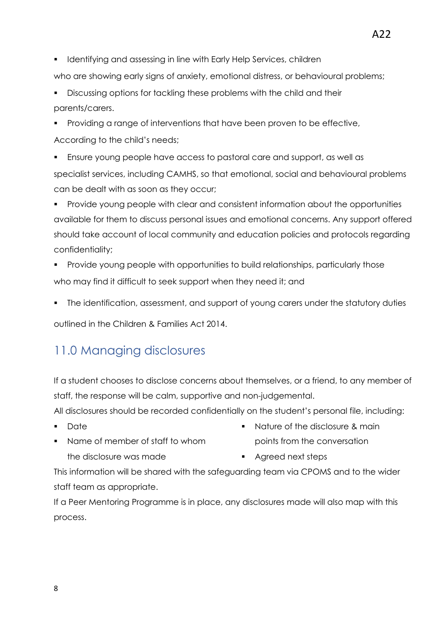**IDENTIFY** Identifying and assessing in line with Early Help Services, children

who are showing early signs of anxiety, emotional distress, or behavioural problems;

- Discussing options for tackling these problems with the child and their parents/carers.
- Providing a range of interventions that have been proven to be effective, According to the child's needs;
- Ensure young people have access to pastoral care and support, as well as specialist services, including CAMHS, so that emotional, social and behavioural problems can be dealt with as soon as they occur;
- **Provide young people with clear and consistent information about the opportunities** available for them to discuss personal issues and emotional concerns. Any support offered should take account of local community and education policies and protocols regarding confidentiality;
- Provide young people with opportunities to build relationships, particularly those who may find it difficult to seek support when they need it; and
- The identification, assessment, and support of young carers under the statutory duties

outlined in the Children & Families Act 2014.

#### 11.0 Managing disclosures

If a student chooses to disclose concerns about themselves, or a friend, to any member of staff, the response will be calm, supportive and non-judgemental.

All disclosures should be recorded confidentially on the student's personal file, including:

- **-** Date
- Name of member of staff to whom the disclosure was made
- Nature of the disclosure & main points from the conversation
- **Agreed next steps**

This information will be shared with the safeguarding team via CPOMS and to the wider staff team as appropriate.

If a Peer Mentoring Programme is in place, any disclosures made will also map with this process.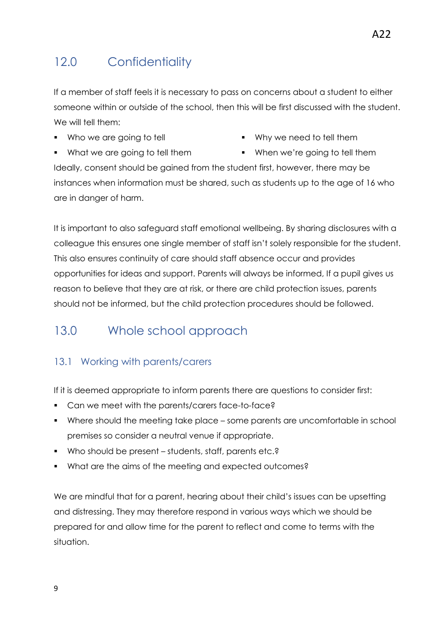## 12.0 Confidentiality

If a member of staff feels it is necessary to pass on concerns about a student to either someone within or outside of the school, then this will be first discussed with the student. We will tell them:

• Who we are going to tell

- Why we need to tell them
- What we are going to tell them
- When we're going to tell them

Ideally, consent should be gained from the student first, however, there may be instances when information must be shared, such as students up to the age of 16 who are in danger of harm.

It is important to also safeguard staff emotional wellbeing. By sharing disclosures with a colleague this ensures one single member of staff isn't solely responsible for the student. This also ensures continuity of care should staff absence occur and provides opportunities for ideas and support. Parents will always be informed, If a pupil gives us reason to believe that they are at risk, or there are child protection issues, parents should not be informed, but the child protection procedures should be followed.

## 13.0 Whole school approach

#### 13.1 Working with parents/carers

If it is deemed appropriate to inform parents there are questions to consider first:

- **Can we meet with the parents/carers face-to-face?**
- Where should the meeting take place some parents are uncomfortable in school premises so consider a neutral venue if appropriate.
- Who should be present students, staff, parents etc.?
- What are the aims of the meeting and expected outcomes?

We are mindful that for a parent, hearing about their child's issues can be upsetting and distressing. They may therefore respond in various ways which we should be prepared for and allow time for the parent to reflect and come to terms with the situation.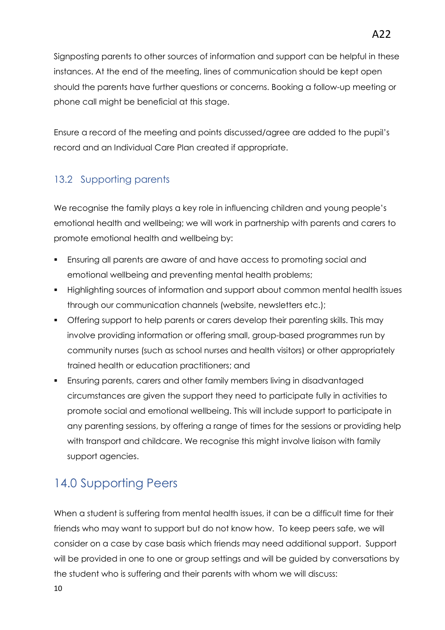Signposting parents to other sources of information and support can be helpful in these instances. At the end of the meeting, lines of communication should be kept open should the parents have further questions or concerns. Booking a follow-up meeting or phone call might be beneficial at this stage.

Ensure a record of the meeting and points discussed/agree are added to the pupil's record and an Individual Care Plan created if appropriate.

#### 13.2 Supporting parents

We recognise the family plays a key role in influencing children and young people's emotional health and wellbeing; we will work in partnership with parents and carers to promote emotional health and wellbeing by:

- Ensuring all parents are aware of and have access to promoting social and emotional wellbeing and preventing mental health problems;
- Highlighting sources of information and support about common mental health issues through our communication channels (website, newsletters etc.);
- Offering support to help parents or carers develop their parenting skills. This may involve providing information or offering small, group-based programmes run by community nurses (such as school nurses and health visitors) or other appropriately trained health or education practitioners; and
- Ensuring parents, carers and other family members living in disadvantaged circumstances are given the support they need to participate fully in activities to promote social and emotional wellbeing. This will include support to participate in any parenting sessions, by offering a range of times for the sessions or providing help with transport and childcare. We recognise this might involve liaison with family support agencies.

## 14.0 Supporting Peers

When a student is suffering from mental health issues, it can be a difficult time for their friends who may want to support but do not know how. To keep peers safe, we will consider on a case by case basis which friends may need additional support. Support will be provided in one to one or group settings and will be guided by conversations by the student who is suffering and their parents with whom we will discuss: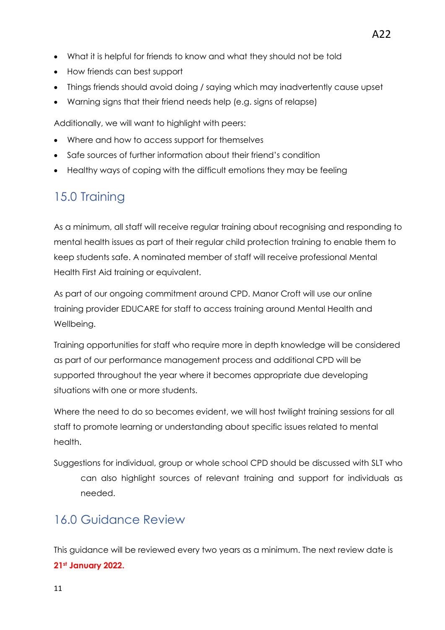- What it is helpful for friends to know and what they should not be told
- How friends can best support
- Things friends should avoid doing / saying which may inadvertently cause upset
- Warning signs that their friend needs help (e.g. signs of relapse)

Additionally, we will want to highlight with peers:

- Where and how to access support for themselves
- Safe sources of further information about their friend's condition
- Healthy ways of coping with the difficult emotions they may be feeling

## 15.0 Training

As a minimum, all staff will receive regular training about recognising and responding to mental health issues as part of their regular child protection training to enable them to keep students safe. A nominated member of staff will receive professional Mental Health First Aid training or equivalent.

As part of our ongoing commitment around CPD. Manor Croft will use our online training provider EDUCARE for staff to access training around Mental Health and Wellbeing.

Training opportunities for staff who require more in depth knowledge will be considered as part of our performance management process and additional CPD will be supported throughout the year where it becomes appropriate due developing situations with one or more students.

Where the need to do so becomes evident, we will host twilight training sessions for all staff to promote learning or understanding about specific issues related to mental health.

Suggestions for individual, group or whole school CPD should be discussed with SLT who can also highlight sources of relevant training and support for individuals as needed.

### 16.0 Guidance Review

This guidance will be reviewed every two years as a minimum. The next review date is **21st January 2022.**